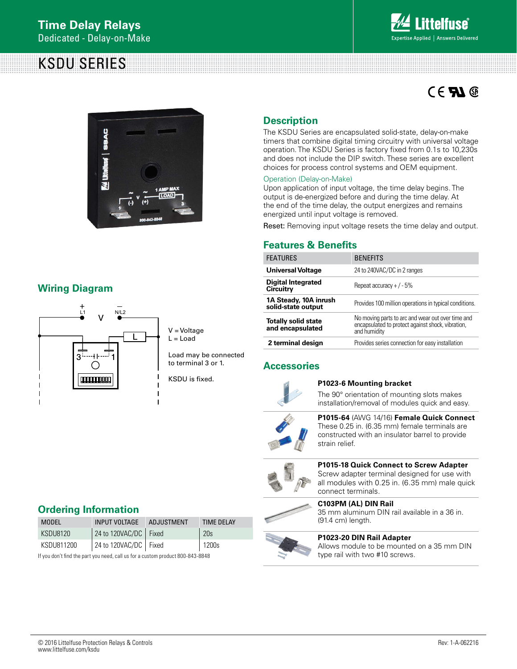# KSDU SERIES



# $C \in \mathbf{F}$



## **Wiring Diagram**



V = Voltage  $L =$  Load

Load may be connected to terminal 3 or 1.

KSDU is fixed.

## **Description**

The KSDU Series are encapsulated solid-state, delay-on-make timers that combine digital timing circuitry with universal voltage operation. The KSDU Series is factory fixed from 0.1s to 10,230s and does not include the DIP switch. These series are excellent choices for process control systems and OEM equipment.

### Operation (Delay-on-Make)

Upon application of input voltage, the time delay begins. The output is de-energized before and during the time delay. At the end of the time delay, the output energizes and remains energized until input voltage is removed.

Reset: Removing input voltage resets the time delay and output.

### **Features & Benefits**

| <b>FEATURES</b>                                 | <b>BENEFITS</b>                                                                                                        |  |
|-------------------------------------------------|------------------------------------------------------------------------------------------------------------------------|--|
| <b>Universal Voltage</b>                        | 24 to 240VAC/DC in 2 ranges                                                                                            |  |
| Digital Integrated<br><b>Circuitry</b>          | Repeat accuracy $+/-5\%$                                                                                               |  |
| 1A Steady, 10A inrush<br>solid-state output     | Provides 100 million operations in typical conditions.                                                                 |  |
| <b>Totally solid state<br/>and encapsulated</b> | No moving parts to arc and wear out over time and<br>encapsulated to protect against shock, vibration,<br>and humidity |  |
| 2 terminal design                               | Provides series connection for easy installation                                                                       |  |

### **Accessories**



### **P1023-6 Mounting bracket**

The 90° orientation of mounting slots makes installation/removal of modules quick and easy.



**P1015-64** (AWG 14/16) **Female Quick Connect** These 0.25 in. (6.35 mm) female terminals are constructed with an insulator barrel to provide strain relief.



**P1015-18 Quick Connect to Screw Adapter** Screw adapter terminal designed for use with all modules with 0.25 in. (6.35 mm) male quick connect terminals.

**C103PM (AL) DIN Rail**  35 mm aluminum DIN rail available in a 36 in. (91.4 cm) length.



#### **P1023-20 DIN Rail Adapter** Allows module to be mounted on a 35 mm DIN type rail with two #10 screws.

### **Ordering Information**

| MODEL      | INPUT VOLTAGE ADJUSTMENT              | <b>TIME DELAY</b> |
|------------|---------------------------------------|-------------------|
| KSDU8120   | $\vert$ 24 to 120VAC/DC $\vert$ Fixed | 20 <sub>s</sub>   |
| KSDU811200 | 24 to 120VAC/DC   Fixed               | $1200s$           |
|            |                                       |                   |

If you don't find the part you need, call us for a custom product 800-843-8848